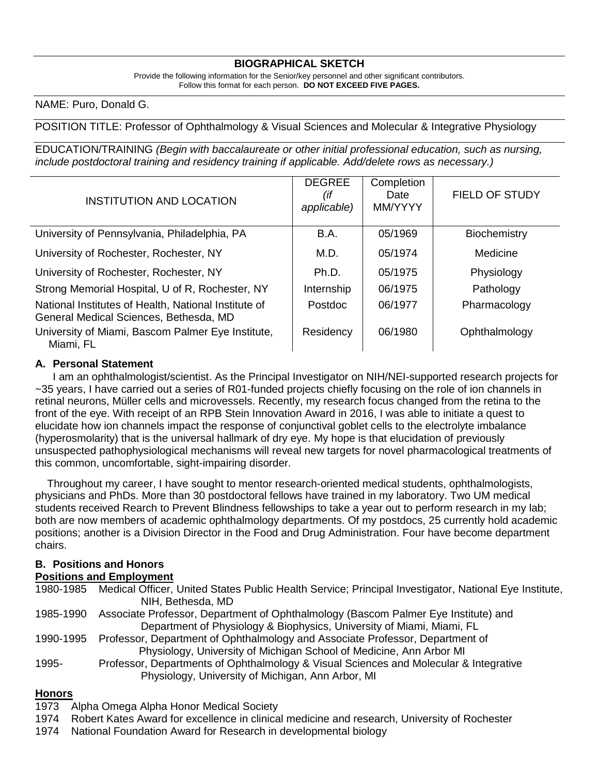## **BIOGRAPHICAL SKETCH**

Provide the following information for the Senior/key personnel and other significant contributors. Follow this format for each person. **DO NOT EXCEED FIVE PAGES.**

NAME: Puro, Donald G.

#### POSITION TITLE: Professor of Ophthalmology & Visual Sciences and Molecular & Integrative Physiology

EDUCATION/TRAINING *(Begin with baccalaureate or other initial professional education, such as nursing, include postdoctoral training and residency training if applicable. Add/delete rows as necessary.)*

| <b>INSTITUTION AND LOCATION</b>                                                                | <b>DEGREE</b><br>(if<br>applicable) | Completion<br>Date<br>MM/YYYY | <b>FIELD OF STUDY</b> |
|------------------------------------------------------------------------------------------------|-------------------------------------|-------------------------------|-----------------------|
| University of Pennsylvania, Philadelphia, PA                                                   | B.A.                                | 05/1969                       | <b>Biochemistry</b>   |
| University of Rochester, Rochester, NY                                                         | M.D.                                | 05/1974                       | Medicine              |
| University of Rochester, Rochester, NY                                                         | Ph.D.                               | 05/1975                       | Physiology            |
| Strong Memorial Hospital, U of R, Rochester, NY                                                | Internship                          | 06/1975                       | Pathology             |
| National Institutes of Health, National Institute of<br>General Medical Sciences, Bethesda, MD | Postdoc                             | 06/1977                       | Pharmacology          |
| University of Miami, Bascom Palmer Eye Institute,<br>Miami, FL                                 | Residency                           | 06/1980                       | Ophthalmology         |

#### **A. Personal Statement**

 I am an ophthalmologist/scientist. As the Principal Investigator on NIH/NEI-supported research projects for ~35 years, I have carried out a series of R01-funded projects chiefly focusing on the role of ion channels in retinal neurons, Müller cells and microvessels. Recently, my research focus changed from the retina to the front of the eye. With receipt of an RPB Stein Innovation Award in 2016, I was able to initiate a quest to elucidate how ion channels impact the response of conjunctival goblet cells to the electrolyte imbalance (hyperosmolarity) that is the universal hallmark of dry eye. My hope is that elucidation of previously unsuspected pathophysiological mechanisms will reveal new targets for novel pharmacological treatments of this common, uncomfortable, sight-impairing disorder.

 Throughout my career, I have sought to mentor research-oriented medical students, ophthalmologists, physicians and PhDs. More than 30 postdoctoral fellows have trained in my laboratory. Two UM medical students received Rearch to Prevent Blindness fellowships to take a year out to perform research in my lab; both are now members of academic ophthalmology departments. Of my postdocs, 25 currently hold academic positions; another is a Division Director in the Food and Drug Administration. Four have become department chairs.

# **B. Positions and Honors**

# **Positions and Employment**

1980-1985 Medical Officer, United States Public Health Service; Principal Investigator, National Eye Institute, NIH, Bethesda, MD 1985-1990 Associate Professor, Department of Ophthalmology (Bascom Palmer Eye Institute) and Department of Physiology & Biophysics, University of Miami, Miami, FL 1990-1995 Professor, Department of Ophthalmology and Associate Professor, Department of Physiology, University of Michigan School of Medicine, Ann Arbor MI 1995- Professor, Departments of Ophthalmology & Visual Sciences and Molecular & Integrative Physiology, University of Michigan, Ann Arbor, MI

### **Honors**

- 1973 Alpha Omega Alpha Honor Medical Society
- 1974 Robert Kates Award for excellence in clinical medicine and research, University of Rochester
- 1974 National Foundation Award for Research in developmental biology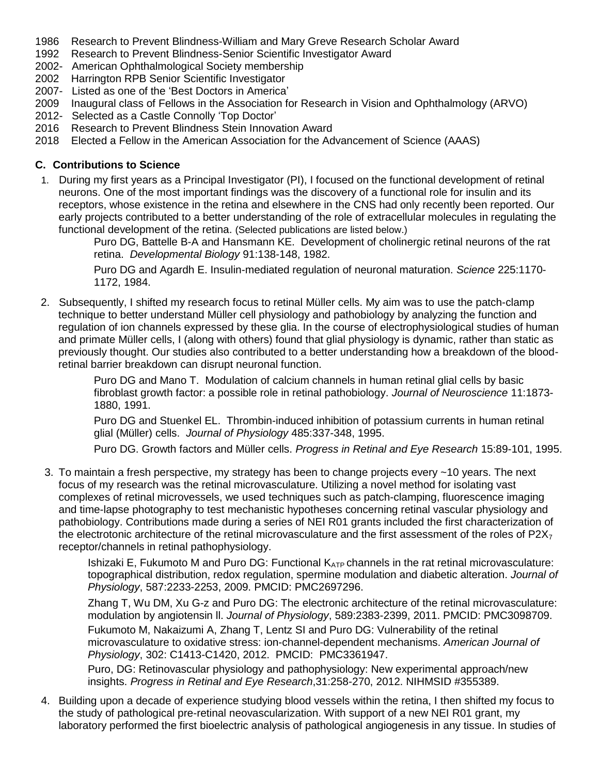- 1986 Research to Prevent Blindness-William and Mary Greve Research Scholar Award
- 1992 Research to Prevent Blindness-Senior Scientific Investigator Award
- 2002- American Ophthalmological Society membership
- 2002 Harrington RPB Senior Scientific Investigator
- 2007- Listed as one of the 'Best Doctors in America'
- 2009 Inaugural class of Fellows in the Association for Research in Vision and Ophthalmology (ARVO)
- 2012- Selected as a Castle Connolly 'Top Doctor'
- 2016 Research to Prevent Blindness Stein Innovation Award
- 2018 Elected a Fellow in the American Association for the Advancement of Science (AAAS)

### **C. Contributions to Science**

1. During my first years as a Principal Investigator (PI), I focused on the functional development of retinal neurons. One of the most important findings was the discovery of a functional role for insulin and its receptors, whose existence in the retina and elsewhere in the CNS had only recently been reported. Our early projects contributed to a better understanding of the role of extracellular molecules in regulating the functional development of the retina. (Selected publications are listed below.)

> Puro DG, Battelle B-A and Hansmann KE. Development of cholinergic retinal neurons of the rat retina. *Developmental Biology* 91:138-148, 1982.

Puro DG and Agardh E. Insulin-mediated regulation of neuronal maturation. *Science* 225:1170- 1172, 1984.

2. Subsequently, I shifted my research focus to retinal Müller cells. My aim was to use the patch-clamp technique to better understand Müller cell physiology and pathobiology by analyzing the function and regulation of ion channels expressed by these glia. In the course of electrophysiological studies of human and primate Müller cells, I (along with others) found that glial physiology is dynamic, rather than static as previously thought. Our studies also contributed to a better understanding how a breakdown of the bloodretinal barrier breakdown can disrupt neuronal function.

> Puro DG and Mano T. Modulation of calcium channels in human retinal glial cells by basic fibroblast growth factor: a possible role in retinal pathobiology. *Journal of Neuroscience* 11:1873- 1880, 1991.

Puro DG and Stuenkel EL. Thrombin-induced inhibition of potassium currents in human retinal glial (Müller) cells. *Journal of Physiology* 485:337-348, 1995.

Puro DG. Growth factors and Müller cells. *Progress in Retinal and Eye Research* 15:89-101, 1995.

3. To maintain a fresh perspective, my strategy has been to change projects every ~10 years. The next focus of my research was the retinal microvasculature. Utilizing a novel method for isolating vast complexes of retinal microvessels, we used techniques such as patch-clamping, fluorescence imaging and time-lapse photography to test mechanistic hypotheses concerning retinal vascular physiology and pathobiology. Contributions made during a series of NEI R01 grants included the first characterization of the electrotonic architecture of the retinal microvasculature and the first assessment of the roles of  $P2X<sub>7</sub>$ receptor/channels in retinal pathophysiology.

Ishizaki E, Fukumoto M and Puro DG: Functional  $K_{ATP}$  channels in the rat retinal microvasculature: topographical distribution, redox regulation, spermine modulation and diabetic alteration. *Journal of Physiology*, 587:2233-2253, 2009. PMCID: PMC2697296.

Zhang T, Wu DM, Xu G-z and Puro DG: The electronic architecture of the retinal microvasculature: modulation by angiotensin ll. *Journal of Physiology*, 589:2383-2399, 2011. PMCID: PMC3098709. Fukumoto M, Nakaizumi A, Zhang T, Lentz SI and Puro DG: Vulnerability of the retinal

microvasculature to oxidative stress: ion-channel-dependent mechanisms. *American Journal of Physiology*, 302: C1413-C1420, 2012. PMCID: PMC3361947.

Puro, DG: Retinovascular physiology and pathophysiology: New experimental approach/new insights. *Progress in Retinal and Eye Research*,31:258-270, 2012. NIHMSID #355389.

4. Building upon a decade of experience studying blood vessels within the retina, I then shifted my focus to the study of pathological pre-retinal neovascularization. With support of a new NEI R01 grant, my laboratory performed the first bioelectric analysis of pathological angiogenesis in any tissue. In studies of